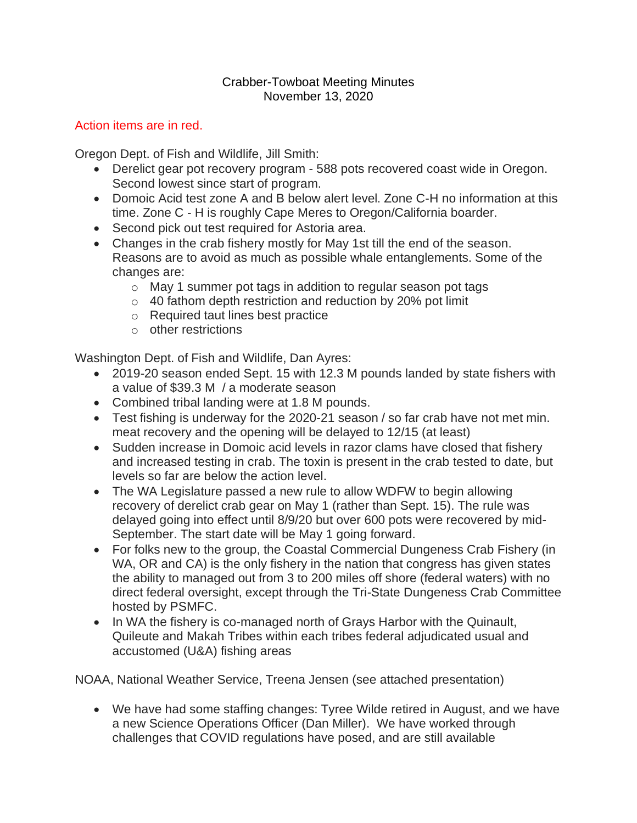## Crabber-Towboat Meeting Minutes November 13, 2020

## Action items are in red.

Oregon Dept. of Fish and Wildlife, Jill Smith:

- Derelict gear pot recovery program 588 pots recovered coast wide in Oregon. Second lowest since start of program.
- Domoic Acid test zone A and B below alert level. Zone C-H no information at this time. Zone C - H is roughly Cape Meres to Oregon/California boarder.
- Second pick out test required for Astoria area.
- Changes in the crab fishery mostly for May 1st till the end of the season. Reasons are to avoid as much as possible whale entanglements. Some of the changes are:
	- o May 1 summer pot tags in addition to regular season pot tags
	- o 40 fathom depth restriction and reduction by 20% pot limit
	- o Required taut lines best practice
	- o other restrictions

Washington Dept. of Fish and Wildlife, Dan Ayres:

- 2019-20 season ended Sept. 15 with 12.3 M pounds landed by state fishers with a value of \$39.3 M / a moderate season
- Combined tribal landing were at 1.8 M pounds.
- Test fishing is underway for the 2020-21 season / so far crab have not met min. meat recovery and the opening will be delayed to 12/15 (at least)
- Sudden increase in Domoic acid levels in razor clams have closed that fishery and increased testing in crab. The toxin is present in the crab tested to date, but levels so far are below the action level.
- The WA Legislature passed a new rule to allow WDFW to begin allowing recovery of derelict crab gear on May 1 (rather than Sept. 15). The rule was delayed going into effect until 8/9/20 but over 600 pots were recovered by mid-September. The start date will be May 1 going forward.
- For folks new to the group, the Coastal Commercial Dungeness Crab Fishery (in WA, OR and CA) is the only fishery in the nation that congress has given states the ability to managed out from 3 to 200 miles off shore (federal waters) with no direct federal oversight, except through the Tri-State Dungeness Crab Committee hosted by PSMFC.
- In WA the fishery is co-managed north of Grays Harbor with the Quinault, Quileute and Makah Tribes within each tribes federal adjudicated usual and accustomed (U&A) fishing areas

NOAA, National Weather Service, Treena Jensen (see attached presentation)

• We have had some staffing changes: Tyree Wilde retired in August, and we have a new Science Operations Officer (Dan Miller). We have worked through challenges that COVID regulations have posed, and are still available